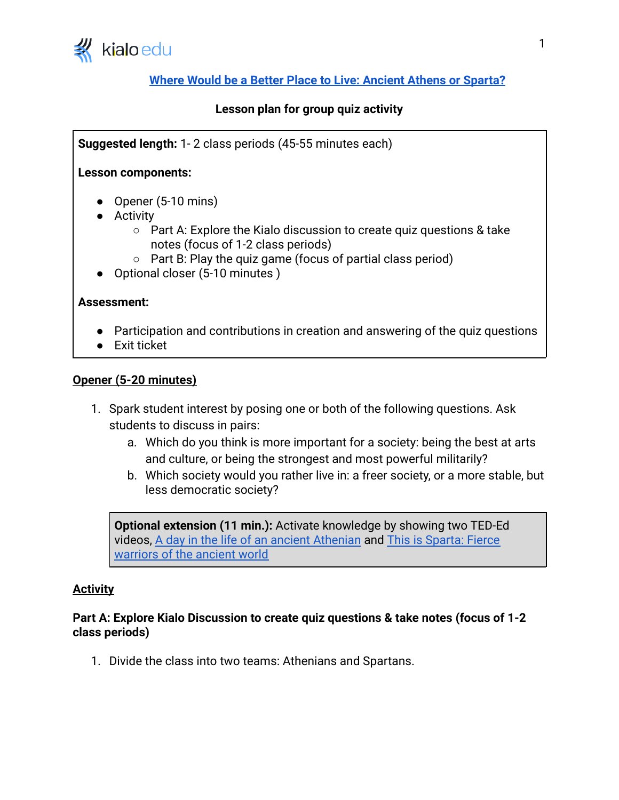

# **[Where Would be a Better Place to Live: Ancient Athens or Sparta?](https://www.kialo-edu.com/p/387279bd-ddc5-4019-96de-ee63ba900765/66309)**

## **Lesson plan for group quiz activity**

**Suggested length:** 1- 2 class periods (45-55 minutes each)

### **Lesson components:**

- Opener (5-10 mins)
- Activity
	- Part A: Explore the Kialo discussion to create quiz questions & take notes (focus of 1-2 class periods)
	- Part B: Play the quiz game (focus of partial class period)
- Optional closer (5-10 minutes )

#### **Assessment:**

- Participation and contributions in creation and answering of the quiz questions
- Exit ticket

#### **Opener (5-20 minutes)**

- 1. Spark student interest by posing one or both of the following questions. Ask students to discuss in pairs:
	- a. Which do you think is more important for a society: being the best at arts and culture, or being the strongest and most powerful militarily?
	- b. Which society would you rather live in: a freer society, or a more stable, but less democratic society?

**Optional extension (11 min.):** Activate knowledge by showing two TED-Ed videos, [A day in the life of an ancient Athenian](https://www.youtube.com/watch?v=ar8S6virCwM) and [This is Sparta: Fierce](https://www.youtube.com/watch?v=M7V1a1I5BL0) [warriors of the ancient world](https://www.youtube.com/watch?v=M7V1a1I5BL0)

### **Activity**

## **Part A: Explore Kialo Discussion to create quiz questions & take notes (focus of 1-2 class periods)**

1. Divide the class into two teams: Athenians and Spartans.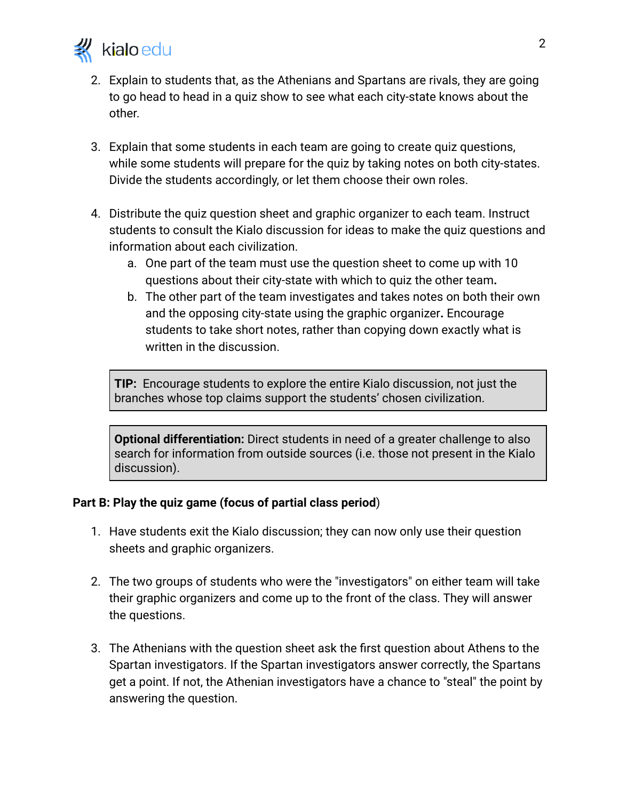

- 2. Explain to students that, as the Athenians and Spartans are rivals, they are going to go head to head in a quiz show to see what each city-state knows about the other.
- 3. Explain that some students in each team are going to create quiz questions, while some students will prepare for the quiz by taking notes on both city-states. Divide the students accordingly, or let them choose their own roles.
- 4. Distribute the quiz question sheet and graphic organizer to each team. Instruct students to consult the Kialo discussion for ideas to make the quiz questions and information about each civilization.
	- a. One part of the team must use the question sheet to come up with 10 questions about their city-state with which to quiz the other team**.**
	- b. The other part of the team investigates and takes notes on both their own and the opposing city-state using the graphic organizer**.** Encourage students to take short notes, rather than copying down exactly what is written in the discussion.

**TIP:** Encourage students to explore the entire Kialo discussion, not just the branches whose top claims support the students' chosen civilization.

**Optional differentiation:** Direct students in need of a greater challenge to also search for information from outside sources (i.e. those not present in the Kialo discussion).

### **Part B: Play the quiz game (focus of partial class period**)

- 1. Have students exit the Kialo discussion; they can now only use their question sheets and graphic organizers.
- 2. The two groups of students who were the "investigators" on either team will take their graphic organizers and come up to the front of the class. They will answer the questions.
- 3. The Athenians with the question sheet ask the first question about Athens to the Spartan investigators. If the Spartan investigators answer correctly, the Spartans get a point. If not, the Athenian investigators have a chance to "steal" the point by answering the question.